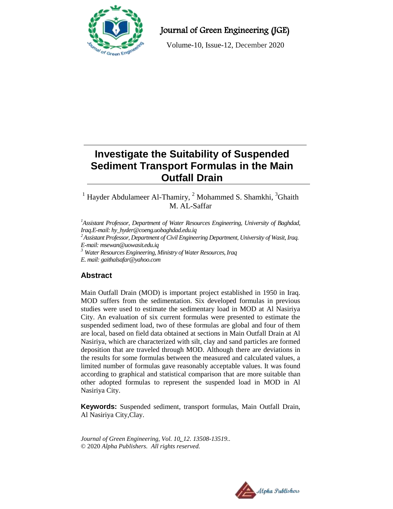

## Journal of Green Engineering (JGE)

Volume-10, Issue-12, December 2020

# **Investigate the Suitability of Suspended Sediment Transport Formulas in the Main Outfall Drain**

## <sup>1</sup> Hayder Abdulameer Al-Thamiry,  $^2$  Mohammed S. Shamkhi,  $^3$ Ghaith M. AL-Saffar

*<sup>1</sup>Assistant Professor, Department of Water Resources Engineering, University of Baghdad, Iraq.E-mail[: hy\\_hyder@coeng.uobaghdad.edu.iq](mailto:hy_hyder@coeng.uobaghdad.edu.iq)*

*<sup>2</sup>Assistant Professor, Department of Civil Engineering Department, University of Wasit, Iraq. E-mail: msewan@uowasit.edu.iq*

*<sup>3</sup> Water Resources Engineering, Ministry of Water Resources, Iraq*

*E. mail: [gaithalsafar@yahoo.com](mailto:gaithalsafar@yahoo.com)*

## **Abstract**

Main Outfall Drain (MOD) is important project established in 1950 in Iraq. MOD suffers from the sedimentation. Six developed formulas in previous studies were used to estimate the sedimentary load in MOD at Al Nasiriya City. An evaluation of six current formulas were presented to estimate the suspended sediment load, two of these formulas are global and four of them are local, based on field data obtained at sections in Main Outfall Drain at Al Nasiriya, which are characterized with silt, clay and sand particles are formed deposition that are traveled through MOD. Although there are deviations in the results for some formulas between the measured and calculated values, a limited number of formulas gave reasonably acceptable values. It was found according to graphical and statistical comparison that are more suitable than other adopted formulas to represent the suspended load in MOD in Al Nasiriya City.

**Keywords:** Suspended sediment, transport formulas, Main Outfall Drain, Al Nasiriya City,Clay.

*Journal of Green Engineering, Vol. 10\_12. 13508-13519..* © 2020 *Alpha Publishers. All rights reserved.*

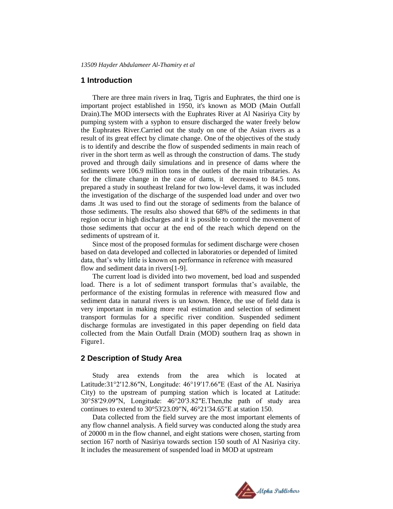#### **1 Introduction**

There are three main rivers in Iraq, Tigris and Euphrates, the third one is important project established in 1950, it's known as MOD (Main Outfall Drain).The MOD intersects with the Euphrates River at Al Nasiriya City by pumping system with a syphon to ensure discharged the water freely below the Euphrates River.Carried out the study on one of the Asian rivers as a result of its great effect by climate change. One of the objectives of the study is to identify and describe the flow of suspended sediments in main reach of river in the short term as well as through the construction of dams. The study proved and through daily simulations and in presence of dams where the sediments were 106.9 million tons in the outlets of the main tributaries. As for the climate change in the case of dams, it decreased to 84.5 tons. prepared a study in southeast Ireland for two low-level dams, it was included the investigation of the discharge of the suspended load under and over two dams .It was used to find out the storage of sediments from the balance of those sediments. The results also showed that 68% of the sediments in that region occur in high discharges and it is possible to control the movement of those sediments that occur at the end of the reach which depend on the sediments of upstream of it.

Since most of the proposed formulas for sediment discharge were chosen based on data developed and collected in laboratories or depended of limited data, that's why little is known on performance in reference with measured flow and sediment data in rivers[1-9].

The current load is divided into two movement, bed load and suspended load. There is a lot of sediment transport formulas that's available, the performance of the existing formulas in reference with measured flow and sediment data in natural rivers is un known. Hence, the use of field data is very important in making more real estimation and selection of sediment transport formulas for a specific river condition. Suspended sediment discharge formulas are investigated in this paper depending on field data collected from the Main Outfall Drain (MOD) southern Iraq as shown in Figure1.

#### **2 Description of Study Area**

Study area extends from the area which is located at Latitude:31°2′12.86″N, Longitude: 46°19′17.66″E (East of the AL Nasiriya City) to the upstream of pumping station which is located at Latitude: 3058′29.09″N, Longitude: 4620′3.82″E.Then,the path of study area continues to extend to 30°53'23.09"N, 46°21'34.65"E at station 150.

Data collected from the field survey are the most important elements of any flow channel analysis. A field survey was conducted along the study area of 20000 m in the flow channel, and eight stations were chosen, starting from section 167 north of Nasiriya towards section 150 south of Al Nasiriya city. It includes the measurement of suspended load in MOD at upstream

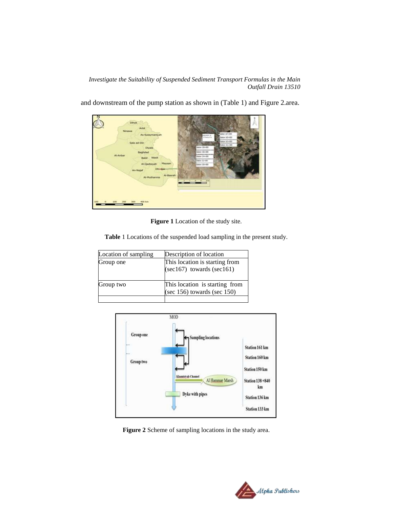*Investigate the Suitability of Suspended Sediment Transport Formulas in the Main Outfall Drain 13510*



and downstream of the pump station as shown in (Table 1) and Figure 2.area.

**Figure 1** Location of the study site.

**Table** 1 Locations of the suspended load sampling in the present study.

| Location of sampling | Description of location                                             |
|----------------------|---------------------------------------------------------------------|
| Group one            | This location is starting from<br>$(\sec 167)$ towards $(\sec 161)$ |
| Group two            | This location is starting from<br>(sec $156$ ) towards (sec $150$ ) |
|                      |                                                                     |



**Figure 2** Scheme of sampling locations in the study area.

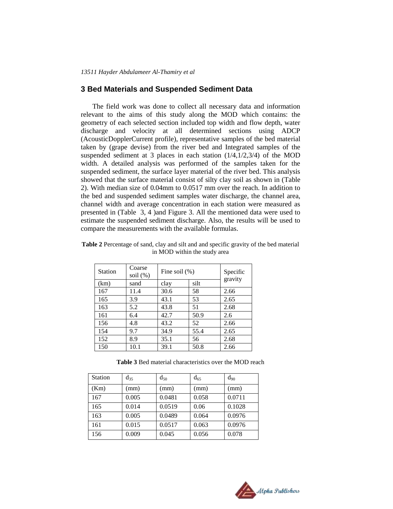#### **3 Bed Materials and Suspended Sediment Data**

The field work was done to collect all necessary data and information relevant to the aims of this study along the MOD which contains: the geometry of each selected section included top width and flow depth, water discharge and velocity at all determined sections using ADCP (AcousticDopplerCurrent profile), representative samples of the bed material taken by (grape devise) from the river bed and Integrated samples of the suspended sediment at 3 places in each station (1/4,1/2,3/4) of the MOD width. A detailed analysis was performed of the samples taken for the suspended sediment, the surface layer material of the river bed. This analysis showed that the surface material consist of silty clay soil as shown in (Table 2). With median size of 0.04mm to 0.0517 mm over the reach. In addition to the bed and suspended sediment samples water discharge, the channel area, channel width and average concentration in each station were measured as presented in (Table 3, 4 )and Figure 3. All the mentioned data were used to estimate the suspended sediment discharge. Also, the results will be used to compare the measurements with the available formulas.

| <b>Station</b> | Coarse<br>soil $(\%)$ | Fine soil $(\%)$ | Specific<br>gravity |      |
|----------------|-----------------------|------------------|---------------------|------|
| (km)           | sand                  | clay             | silt                |      |
| 167            | 11.4                  | 30.6             | 58                  | 2.66 |
| 165            | 3.9                   | 43.1             | 53                  | 2.65 |
| 163            | 5.2                   | 43.8             | 51                  | 2.68 |
| 161            | 6.4                   | 42.7             | 50.9                | 2.6  |
| 156            | 4.8                   | 43.2             | 52                  | 2.66 |
| 154            | 9.7                   | 34.9             | 55.4                | 2.65 |
| 152            | 8.9                   | 35.1             | 56                  | 2.68 |
| 150            | 10.1                  | 39.1             | 50.8                | 2.66 |

**Table 2** Percentage of sand, clay and silt and and specific gravity of the bed material in MOD within the study area

**Table 3** Bed material characteristics over the MOD reach

| <b>Station</b> | $d_{35}$ | $d_{50}$ | $d_{65}$ | $d_{90}$ |
|----------------|----------|----------|----------|----------|
| (Km)           | (mm)     | (mm)     | (mm)     | (mm)     |
| 167            | 0.005    | 0.0481   | 0.058    | 0.0711   |
| 165            | 0.014    | 0.0519   | 0.06     | 0.1028   |
| 163            | 0.005    | 0.0489   | 0.064    | 0.0976   |
| 161            | 0.015    | 0.0517   | 0.063    | 0.0976   |
| 156            | 0.009    | 0.045    | 0.056    | 0.078    |

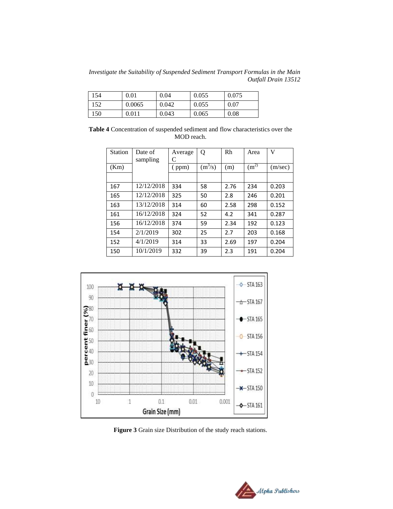*Investigate the Suitability of Suspended Sediment Transport Formulas in the Main Outfall Drain 13512*

| 154 | 0.01      | 0.04  | 0.055 | 0.075 |
|-----|-----------|-------|-------|-------|
| 152 | 0.0065    | 0.042 | 0.055 | 0.07  |
| 150 | $0.011\,$ | 0.043 | 0.065 | 0.08  |

**Table 4** Concentration of suspended sediment and flow characteristics over the MOD reach.

| <b>Station</b> | Date of<br>sampling | Average<br>C | Q         | Rh   | Area              | V       |
|----------------|---------------------|--------------|-----------|------|-------------------|---------|
| (Km)           |                     | (ppm)        | $(m^3/s)$ | (m)  | (m <sup>2</sup> ) | (m/sec) |
|                |                     |              |           |      |                   |         |
| 167            | 12/12/2018          | 334          | 58        | 2.76 | 234               | 0.203   |
| 165            | 12/12/2018          | 325          | 50        | 2.8  | 246               | 0.201   |
| 163            | 13/12/2018          | 314          | 60        | 2.58 | 298               | 0.152   |
| 161            | 16/12/2018          | 324          | 52        | 4.2  | 341               | 0.287   |
| 156            | 16/12/2018          | 374          | 59        | 2.34 | 192               | 0.123   |
| 154            | 2/1/2019            | 302          | 25        | 2.7  | 203               | 0.168   |
| 152            | 4/1/2019            | 314          | 33        | 2.69 | 197               | 0.204   |
| 150            | 10/1/2019           | 332          | 39        | 2.3  | 191               | 0.204   |



**Figure 3** Grain size Distribution of the study reach stations.

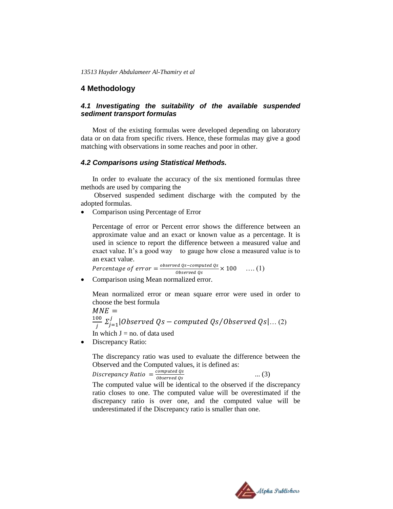*13513 Hayder Abdulameer Al-Thamiry et al*

#### **4 Methodology**

#### *4.1 Investigating the suitability of the available suspended sediment transport formulas*

Most of the existing formulas were developed depending on laboratory data or on data from specific rivers. Hence, these formulas may give a good matching with observations in some reaches and poor in other.

#### *4.2 Comparisons using Statistical Methods.*

In order to evaluate the accuracy of the six mentioned formulas three methods are used by comparing the

Observed suspended sediment discharge with the computed by the adopted formulas.

• Comparison using Percentage of Error

Percentage of error or Percent error shows the difference between an approximate value and an exact or known value as a percentage. It is used in science to report the difference between a measured value and exact value. It's a good way to gauge how close a measured value is to an exact value.

Percentage of error  $=\frac{o}{c}$  $\frac{ea \text{ QS}-compute \text{ QS}}{Observed \text{ QS}} \times 100 \quad \ldots (1)$ 

• Comparison using Mean normalized error.

Mean normalized error or mean square error were used in order to choose the best formula

 $MNE =$  $\mathbf 1$  $\frac{00}{j}$   $\Sigma_{j=1}^{j}|Observed\ Qs-computed\ Qs/Observed\ Qs|...$  (2) In which  $J = no$ . of data used

• Discrepancy Ratio:

The discrepancy ratio was used to evaluate the difference between the Observed and the Computed values, it is defined as:

Discrepancy Ratio  $=\frac{c}{2}$ 0

The computed value will be identical to the observed if the discrepancy ratio closes to one. The computed value will be overestimated if the discrepancy ratio is over one, and the computed value will be underestimated if the Discrepancy ratio is smaller than one.



... (3)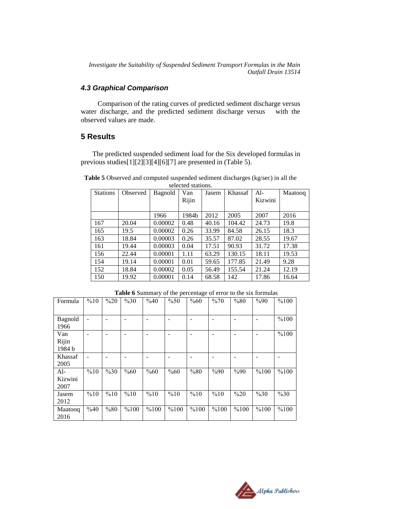*Investigate the Suitability of Suspended Sediment Transport Formulas in the Main Outfall Drain 13514*

#### *4.3 Graphical Comparison*

 Comparison of the rating curves of predicted sediment discharge versus water discharge, and the predicted sediment discharge versus with the observed values are made.

#### **5 Results**

The predicted suspended sediment load for the Six developed formulas in previous studies[1][2][3][4][6][7] are presented in (Table 5).

**Table 5** Observed and computed suspended sediment discharges (kg/sec) in all the selected stations. Al- Maatooq Van Jasem Khassaf Stations | Observed | Bagnold

| <b>Stations</b> | Observed | Bagnold | Van<br>Rijin | Jasem | Khassaf | $Al-$<br>Kizwini | Maatooq |
|-----------------|----------|---------|--------------|-------|---------|------------------|---------|
|                 |          | 1966    | 1984b        | 2012  | 2005    | 2007             | 2016    |
| 167             | 20.04    | 0.00002 | 0.48         | 40.16 | 104.42  | 24.73            | 19.8    |
| 165             | 19.5     | 0.00002 | 0.26         | 33.99 | 84.58   | 26.15            | 18.3    |
| 163             | 18.84    | 0.00003 | 0.26         | 35.57 | 87.02   | 28.55            | 19.67   |
| 161             | 19.44    | 0.00003 | 0.04         | 17.51 | 90.93   | 31.72            | 17.38   |
| 156             | 22.44    | 0.00001 | 1.11         | 63.29 | 130.15  | 18.11            | 19.53   |
| 154             | 19.14    | 0.00001 | 0.01         | 59.65 | 177.85  | 21.49            | 9.28    |
| 152             | 18.84    | 0.00002 | 0.05         | 56.49 | 155.54  | 21.24            | 12.19   |
| 150             | 19.92    | 0.00001 | 0.14         | 68.58 | 142     | 17.86            | 16.64   |

| Formula | %10            | $\%20$ | %30  | %40  | %50  | %60  | $\%70$ | %80    | %90  | %100 |
|---------|----------------|--------|------|------|------|------|--------|--------|------|------|
|         |                |        |      |      |      |      |        |        |      |      |
| Bagnold | $\blacksquare$ |        |      |      |      |      |        |        |      | %100 |
| 1966    |                |        |      |      |      |      |        |        |      |      |
| Van     |                |        |      |      |      |      |        |        |      | %100 |
| Rijin   |                |        |      |      |      |      |        |        |      |      |
| 1984 b  |                |        |      |      |      |      |        |        |      |      |
| Khassaf |                |        |      |      |      |      |        |        |      |      |
| 2005    |                |        |      |      |      |      |        |        |      |      |
| $Al-$   | %10            | %30    | %60  | %60  | %60  | %80  | %90    | %90    | %100 | %100 |
| Kizwini |                |        |      |      |      |      |        |        |      |      |
| 2007    |                |        |      |      |      |      |        |        |      |      |
| Jasem   | %10            | %10    | %10  | %10  | %10  | %10  | %10    | $\%20$ | %30  | %30  |
| 2012    |                |        |      |      |      |      |        |        |      |      |
| Maatooq | %40            | %80    | %100 | %100 | %100 | %100 | %100   | %100   | %100 | %100 |
| 2016    |                |        |      |      |      |      |        |        |      |      |

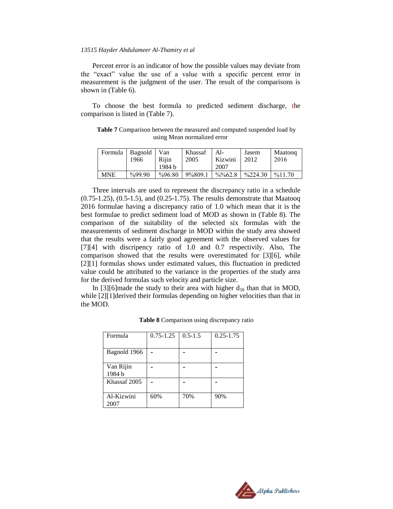#### *13515 Hayder Abdulameer Al-Thamiry et al*

Percent error is an indicator of how the possible values may deviate from the "exact" value the use of a value with a specific percent error in measurement is the judgment of the user. The result of the comparisons is shown in (Table 6).

To choose the best formula to predicted sediment discharge, the comparison is listed in (Table 7).

**Table 7** Comparison between the measured and computed suspended load by using Mean normalized error

| Formula    | <b>Bagnold</b><br>1966 | Van<br>Riiin | Khassaf<br>2005 | $Al-$<br>Kizwini    | Jasem<br>2012      | Maatoog<br>2016 |
|------------|------------------------|--------------|-----------------|---------------------|--------------------|-----------------|
|            |                        | 1984 b       |                 | 2007                |                    |                 |
| <b>MNE</b> | $\frac{9}{99.90}$      | $\%96.80$    | 9%809.1         | $\frac{9}{6}\%62.8$ | $\frac{9}{224.30}$ | %11.70          |

Three intervals are used to represent the discrepancy ratio in a schedule (0.75-1.25), (0.5-1.5), and (0.25-1.75). The results demonstrate that Maatooq 2016 formulae having a discrepancy ratio of 1.0 which mean that it is the best formulae to predict sediment load of MOD as shown in (Table 8). The comparison of the suitability of the selected six formulas with the measurements of sediment discharge in MOD within the study area showed that the results were a fairly good agreement with the observed values for [7][4] with discripency ratio of 1.0 and 0.7 respectivily. Also, The comparison showed that the results were overestimated for [3][6], while [2][1] formulas shows under estimated values, this fluctuation in predicted value could be attributed to the variance in the properties of the study area for the derived formulas such velocity and particle size.

In [3][6]made the study to their area with higher  $d_{50}$  than that in MOD, while [2][1]derived their formulas depending on higher velocities than that in the MOD.

| Formula             | $0.75 - 1.25$ | $0.5 - 1.5$ | $0.25 - 1.75$ |
|---------------------|---------------|-------------|---------------|
|                     |               |             |               |
| Bagnold 1966        |               |             |               |
| Van Rijin<br>1984 b |               |             |               |
| Khassaf 2005        |               |             |               |
| Al-Kizwini<br>2007  | 60%           | 70%         | 90%           |

**Table 8** Comparison using discrepancy ratio

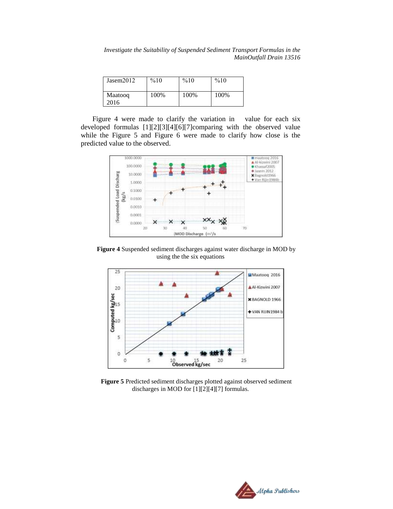*Investigate the Suitability of Suspended Sediment Transport Formulas in the MainOutfall Drain 13516*

| Jasem2012       | %10  | %10  | %10  |
|-----------------|------|------|------|
| Maatoog<br>2016 | 100% | 100% | 100% |

Figure 4 were made to clarify the variation in value for each six developed formulas [1][2][3][4][6][7]comparing with the observed value while the Figure 5 and Figure 6 were made to clarify how close is the predicted value to the observed.



**Figure 4** Suspended sediment discharges against water discharge in MOD by using the the six equations



**Figure 5** Predicted sediment discharges plotted against observed sediment discharges in MOD for [1][2][4][7] formulas.

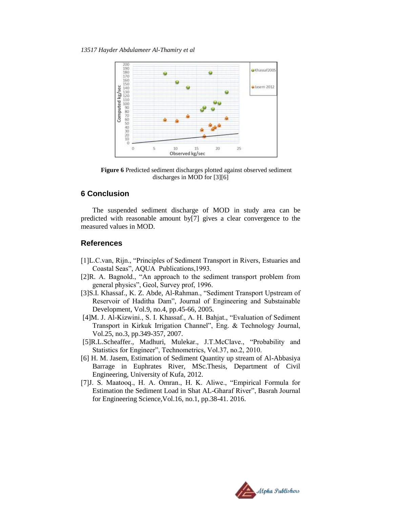

**Figure 6** Predicted sediment discharges plotted against observed sediment discharges in MOD for [3][6]

#### **6 Conclusion**

The suspended sediment discharge of MOD in study area can be predicted with reasonable amount by[7] gives a clear convergence to the measured values in MOD.

#### **References**

- [1]L.C.van, Rijn., "Principles of Sediment Transport in Rivers, Estuaries and Coastal Seas", AQUA Publications,1993.
- [2]R. A. Bagnold., "An approach to the sediment transport problem from general physics", Geol, Survey prof, 1996.
- [3]S.I. Khassaf., K. Z. Abde, Al-Rahman., "Sediment Transport Upstream of Reservoir of Haditha Dam", Journal of Engineering and Substainable Development, Vol.9, no.4, pp.45-66, 2005.
- [4]M. J. Al-Kizwini., S. I. Khassaf., A. H. Bahjat., "Evaluation of Sediment Transport in Kirkuk Irrigation Channel", Eng. & Technology Journal, Vol.25, no.3, pp.349-357, 2007.
- [5]R.L.Scheaffer., Madhuri, Mulekar., J.T.McClave., "Probability and Statistics for Engineer", Technometrics, Vol.37, no.2, 2010.
- [6] H. M. Jasem, Estimation of Sediment Quantity up stream of Al-Abbasiya Barrage in Euphrates River, MSc.Thesis, Department of Civil Engineering, University of Kufa, 2012.
- [7]J. S. Maatooq., H. A. Omran., H. K. Aliwe., "Empirical Formula for Estimation the Sediment Load in Shat AL-Gharaf River", Basrah Journal for Engineering Science,Vol.16, no.1, pp.38-41. 2016.

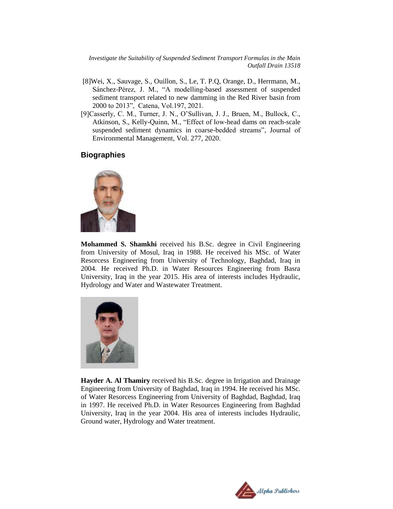*Investigate the Suitability of Suspended Sediment Transport Formulas in the Main Outfall Drain 13518*

- [8]Wei, X., Sauvage, S., Ouillon, S., Le, T. P.Q, Orange, D., Herrmann, M., Sánchez-Pérez, J. M., "A modelling-based assessment of suspended sediment transport related to new damming in the Red River basin from 2000 to 2013", Catena, Vol.197, 2021.
- [9]Casserly, C. M., Turner, J. N., O'Sullivan, J. J., Bruen, M., Bullock, C., Atkinson, S., Kelly-Quinn, M., "Effect of low-head dams on reach-scale suspended sediment dynamics in coarse-bedded streams", Journal of Environmental Management, Vol. 277, 2020.

### **Biographies**



**Mohammed S. Shamkhi** received his B.Sc. degree in Civil Engineering from University of Mosul, Iraq in 1988. He received his MSc. of Water Resorcess Engineering from University of Technology, Baghdad, Iraq in 2004. He received Ph.D. in Water Resources Engineering from Basra University, Iraq in the year 2015. His area of interests includes Hydraulic, Hydrology and Water and Wastewater Treatment.



**Hayder A. Al Thamiry** received his B.Sc. degree in Irrigation and Drainage Engineering from University of Baghdad, Iraq in 1994. He received his MSc. of Water Resorcess Engineering from University of Baghdad, Baghdad, Iraq in 1997. He received Ph.D. in Water Resources Engineering from Baghdad University, Iraq in the year 2004. His area of interests includes Hydraulic, Ground water, Hydrology and Water treatment.